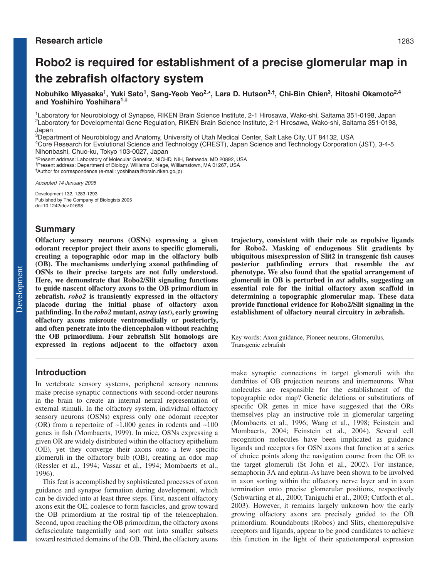# **Robo2 is required for establishment of a precise glomerular map in the zebrafish olfactory system**

Nobuhiko Miyasaka<sup>1</sup>, Yuki Sato<sup>1</sup>, Sang-Yeob Yeo<sup>2,\*</sup>, Lara D. Hutson<sup>3,†</sup>, Chi-Bin Chien<sup>3</sup>, Hitoshi Okamoto<sup>2,4</sup> **and Yoshihiro Yoshihara1,‡**

1Laboratory for Neurobiology of Synapse, RIKEN Brain Science Institute, 2-1 Hirosawa, Wako-shi, Saitama 351-0198, Japan 2Laboratory for Developmental Gene Regulation, RIKEN Brain Science Institute, 2-1 Hirosawa, Wako-shi, Saitama 351-0198, Japan

<sup>3</sup>Department of Neurobiology and Anatomy, University of Utah Medical Center, Salt Lake City, UT 84132, USA

4Core Research for Evolutional Science and Technology (CREST), Japan Science and Technology Corporation (JST), 3-4-5 Nihonbashi, Chuo-ku, Tokyo 103-0027, Japan

\*Present address: Laboratory of Molecular Genetics, NICHD, NIH, Bethesda, MD 20892, USA

†Present address: Department of Biology, Williams College, Williamstown, MA 01267, USA ‡Author for correspondence (e-mail: yoshihara@brain.riken.go.jp)

Accepted 14 January 2005

Development 132, 1283-1293 Published by The Company of Biologists 2005 doi:10.1242/dev.01698

## **Summary**

**Olfactory sensory neurons (OSNs) expressing a given odorant receptor project their axons to specific glomeruli, creating a topographic odor map in the olfactory bulb (OB). The mechanisms underlying axonal pathfinding of OSNs to their precise targets are not fully understood. Here, we demonstrate that Robo2/Slit signaling functions to guide nascent olfactory axons to the OB primordium in zebrafish.** *robo2* **is transiently expressed in the olfactory placode during the initial phase of olfactory axon pathfinding. In the** *robo2* **mutant,** *astray* **(***ast***), early growing olfactory axons misroute ventromedially or posteriorly, and often penetrate into the diencephalon without reaching the OB primordium. Four zebrafish Slit homologs are expressed in regions adjacent to the olfactory axon**

## **trajectory, consistent with their role as repulsive ligands for Robo2. Masking of endogenous Slit gradients by ubiquitous misexpression of Slit2 in transgenic fish causes posterior pathfinding errors that resemble the** *ast* **phenotype. We also found that the spatial arrangement of glomeruli in OB is perturbed in** *ast* **adults, suggesting an essential role for the initial olfactory axon scaffold in determining a topographic glomerular map. These data provide functional evidence for Robo2/Slit signaling in the establishment of olfactory neural circuitry in zebrafish.**

Key words: Axon guidance, Pioneer neurons, Glomerulus, Transgenic zebrafish

# **Introduction**

In vertebrate sensory systems, peripheral sensory neurons make precise synaptic connections with second-order neurons in the brain to create an internal neural representation of external stimuli. In the olfactory system, individual olfactory sensory neurons (OSNs) express only one odorant receptor (OR) from a repertoire of  $\sim$ 1,000 genes in rodents and  $\sim$ 100 genes in fish (Mombaerts, 1999). In mice, OSNs expressing a given OR are widely distributed within the olfactory epithelium (OE), yet they converge their axons onto a few specific glomeruli in the olfactory bulb (OB), creating an odor map (Ressler et al., 1994; Vassar et al., 1994; Mombaerts et al., 1996).

This feat is accomplished by sophisticated processes of axon guidance and synapse formation during development, which can be divided into at least three steps. First, nascent olfactory axons exit the OE, coalesce to form fascicles, and grow toward the OB primordium at the rostral tip of the telencephalon. Second, upon reaching the OB primordium, the olfactory axons defasciculate tangentially and sort out into smaller subsets toward restricted domains of the OB. Third, the olfactory axons make synaptic connections in target glomeruli with the dendrites of OB projection neurons and interneurons. What molecules are responsible for the establishment of the topographic odor map? Genetic deletions or substitutions of specific OR genes in mice have suggested that the ORs themselves play an instructive role in glomerular targeting (Mombaerts et al., 1996; Wang et al., 1998; Feinstein and Mombaerts, 2004; Feinstein et al., 2004). Several cell recognition molecules have been implicated as guidance ligands and receptors for OSN axons that function at a series of choice points along the navigation course from the OE to the target glomeruli (St John et al., 2002). For instance, semaphorin 3A and ephrin-As have been shown to be involved in axon sorting within the olfactory nerve layer and in axon termination onto precise glomerular positions, respectively (Schwarting et al., 2000; Taniguchi et al., 2003; Cutforth et al., 2003). However, it remains largely unknown how the early growing olfactory axons are precisely guided to the OB primordium. Roundabouts (Robos) and Slits, chemorepulsive receptors and ligands, appear to be good candidates to achieve this function in the light of their spatiotemporal expression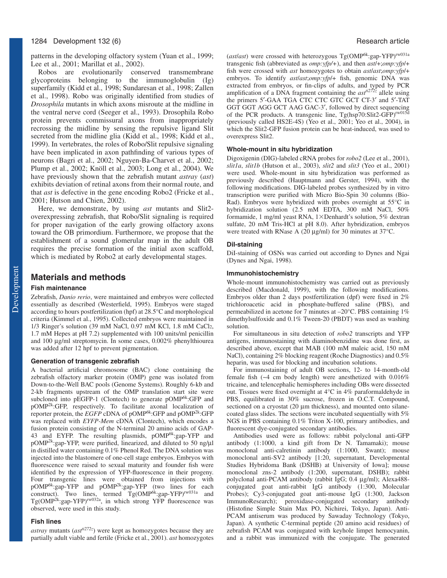## 1284 Development 132 (6) Research article

patterns in the developing olfactory system (Yuan et al., 1999; Lee et al., 2001; Marillat et al., 2002).

Robos are evolutionarily conserved transmembrane glycoproteins belonging to the immunoglobulin (Ig) superfamily (Kidd et al., 1998; Sundaresan et al., 1998; Zallen et al., 1998). Robo was originally identified from studies of *Drosophila* mutants in which axons misroute at the midline in the ventral nerve cord (Seeger et al., 1993). Drosophila Robo protein prevents commissural axons from inappropriately recrossing the midline by sensing the repulsive ligand Slit secreted from the midline glia (Kidd et al., 1998; Kidd et al., 1999). In vertebrates, the roles of Robo/Slit repulsive signaling have been implicated in axon pathfinding of various types of neurons (Bagri et al., 2002; Nguyen-Ba-Charvet et al., 2002; Plump et al., 2002; Knöll et al., 2003; Long et al., 2004). We have previously shown that the zebrafish mutant *astray* (*ast*) exhibits deviation of retinal axons from their normal route, and that *ast* is defective in the gene encoding Robo2 (Fricke et al., 2001; Hutson and Chien, 2002).

Here, we demonstrate, by using *ast* mutants and Slit2 overexpressing zebrafish, that Robo/Slit signaling is required for proper navigation of the early growing olfactory axons toward the OB primordium. Furthermore, we propose that the establishment of a sound glomerular map in the adult OB requires the precise formation of the initial axon scaffold, which is mediated by Robo2 at early developmental stages.

# **Materials and methods**

#### **Fish maintenance**

Zebrafish, *Danio rerio*, were maintained and embryos were collected essentially as described (Westerfield, 1995). Embryos were staged according to hours postfertilization (hpf) at 28.5°C and morphological criteria (Kimmel et al., 1995). Collected embryos were maintained in 1/3 Ringer's solution (39 mM NaCl, 0.97 mM KCl, 1.8 mM CaCl2, 1.7 mM Hepes at pH 7.2) supplemented with 100 units/ml penicillin and 100 µg/ml streptomycin. In some cases, 0.002% phenylthiourea was added after 12 hpf to prevent pigmentation.

#### **Generation of transgenic zebrafish**

A bacterial artificial chromosome (BAC) clone containing the zebrafish olfactory marker protein (OMP) gene was isolated from Down-to-the-Well BAC pools (Genome Systems). Roughly 6-kb and 2-kb fragments upstream of the OMP translation start site were subcloned into pEGFP-1 (Clontech) to generate pOMP<sup>6k</sup>:GFP and pOMP2k:GFP, respectively. To facilitate axonal localization of reporter protein, the *EGFP* cDNA of pOMP<sup>6k</sup>:GFP and pOMP<sup>2k</sup>:GFP was replaced with *EYFP-Mem* cDNA (Clontech), which encodes a fusion protein consisting of the N-terminal 20 amino acids of GAP-43 and EYFP. The resulting plasmids, pOMP<sup>6k</sup>:gap-YFP and pOMP2k:gap-YFP, were purified, linearized, and diluted to 50 ng/µl in distilled water containing 0.1% Phenol Red. The DNA solution was injected into the blastomere of one-cell stage embryos. Embryos with fluorescence were raised to sexual maturity and founder fish were identified by the expression of YFP-fluorescence in their progeny. Four transgenic lines were obtained from injections with pOMP6k:gap-YFP and pOMP2k:gap-YFP (two lines for each construct). Two lines, termed  $\mathrm{Tg}(\mathrm{OMP}^{6k}:\text{gap-YFP})^{\mathrm{rw031a}}$  and Tg(OMP<sup>2k</sup>:gap-YFP)<sup>rw032a</sup>, in which strong YFP fluorescence was observed, were used in this study.

#### **Fish lines**

*astray* mutants (*astti272z*) were kept as homozygotes because they are partially adult viable and fertile (Fricke et al., 2001). *ast* homozygotes (*ast*/*ast*) were crossed with heterozygous Tg(OMP6k:gap-YFP)rw031a transgenic fish (abbreviated as *omp:yfp/+*), and then *ast*/+;*omp:yfp*/+ fish were crossed with *ast* homozygotes to obtain *ast*/*ast*;*omp:yfp*/+ embryos. To identify *ast*/*ast*;*omp:yfp*/+ fish, genomic DNA was extracted from embryos, or fin-clips of adults, and typed by PCR amplification of a DNA fragment containing the  $ast^{t272z}$  allele using the primers 5′-GAA TGA CTC CTC GTC GCT CT-3′ and 5′-TAT GGT GGT AGG GCT AAG GAC-3′, followed by direct sequencing of the PCR products. A transgenic line, Tg(hsp70:Slit2-GFP)rw015d (previously called HS2E-4S) (Yeo et al., 2001; Yeo et al., 2004), in which the Slit2-GFP fusion protein can be heat-induced, was used to overexpress Slit2.

#### **Whole-mount in situ hybridization**

Digoxigenin (DIG)-labeled cRNA probes for *robo2* (Lee et al., 2001), *slit1a*, *slit1b* (Hutson et al., 2003), *slit2* and *slit3* (Yeo et al., 2001) were used. Whole-mount in situ hybridization was performed as previously described (Hauptmann and Gerster, 1994), with the following modifications. DIG-labeled probes synthesized by in vitro transcription were purified with Micro Bio-Spin 30 columns (Bio-Rad). Embryos were hybridized with probes overnight at 55°C in hybridization solution (2.5 mM EDTA, 300 mM NaCl, 50% formamide, 1 mg/ml yeast RNA,  $1 \times$ Denhardt's solution, 5% dextran sulfate, 20 mM Tris-HCl at pH 8.0). After hybridization, embryos were treated with RNase A (20 µg/ml) for 30 minutes at 37°C.

#### **DiI-staining**

DiI-staining of OSNs was carried out according to Dynes and Ngai (Dynes and Ngai, 1998).

#### **Immunohistochemistry**

Whole-mount immunohistochemistry was carried out as previously described (Macdonald, 1999), with the following modifications. Embryos older than 2 days postfertilization (dpf) were fixed in 2% trichloroacetic acid in phosphate-buffered saline (PBS), and permeabilized in acetone for 7 minutes at –20°C. PBS containing 1% dimethylsulfoxide and 0.1% Tween-20 (PBDT) was used as washing solution.

For simultaneous in situ detection of *robo2* transcripts and YFP antigens, immunostaining with diaminobenzidine was done first, as described above, except that MAB (100 mM maleic acid, 150 mM NaCl), containing 2% blocking reagent (Roche Diagnostics) and 0.5% heparin, was used for blocking and incubation solutions.

For immunostaining of adult OB sections, 12- to 14-month-old female fish (~4 cm body length) were anesthetized with 0.016% tricaine, and telencephalic hemispheres including OBs were dissected out. Tissues were fixed overnight at 4°C in 4% paraformaldehyde in PBS, equilibrated in 30% sucrose, frozen in O.C.T. Compound, sectioned on a cryostat (20  $\mu$ m thickness), and mounted onto silanecoated glass slides. The sections were incubated sequentially with 5% NGS in PBS containing 0.1% Triton X-100, primary antibodies, and fluorescent dye-conjugated secondary antibodies.

Antibodies used were as follows: rabbit polyclonal anti-GFP antibody (1:1000, a kind gift from Dr N. Tamamaki); mouse monoclonal anti-calretinin antibody (1:1000, Swant); mouse monoclonal anti-SV2 antibody [1:20, supernatant, Developmental Studies Hybridoma Bank (DSHB) at University of Iowa]; mouse monoclonal zns-2 antibody (1:200, supernatant, DSHB); rabbit polyclonal anti-PCAM antibody (rabbit IgG; 0.4 µg/ml); Alexa488 conjugated goat anti-rabbit IgG antibody (1:300, Molecular Probes); Cy3-conjugated goat anti-mouse IgG (1:300, Jackson ImmunoResearch); peroxidase-conjugated secondary antibody (Histofine Simple Stain Max PO, Nichirei, Tokyo, Japan). Anti-PCAM antiserum was produced by Sawaday Technology (Tokyo, Japan). A synthetic C-terminal peptide (20 amino acid residues) of zebrafish PCAM was conjugated with keyhole limpet hemocyanin, and a rabbit was immunized with the conjugate. The generated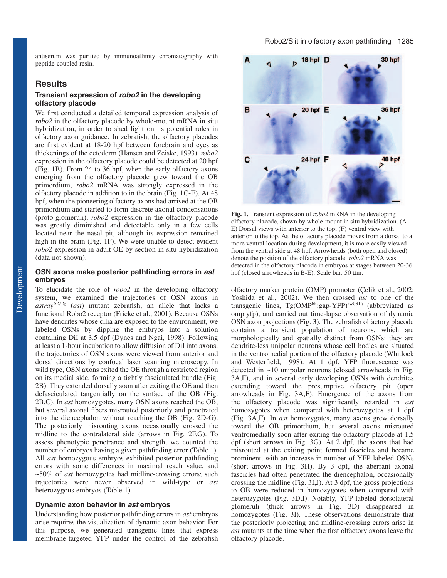antiserum was purified by immunoaffinity chromatography with peptide-coupled resin.

# **Results**

## **Transient expression of robo2 in the developing olfactory placode**

We first conducted a detailed temporal expression analysis of *robo2* in the olfactory placode by whole-mount mRNA in situ hybridization, in order to shed light on its potential roles in olfactory axon guidance. In zebrafish, the olfactory placodes are first evident at 18-20 hpf between forebrain and eyes as thickenings of the ectoderm (Hansen and Zeiske, 1993). *robo2* expression in the olfactory placode could be detected at 20 hpf (Fig. 1B). From 24 to 36 hpf, when the early olfactory axons emerging from the olfactory placode grew toward the OB primordium, *robo2* mRNA was strongly expressed in the olfactory placode in addition to in the brain (Fig. 1C-E). At 48 hpf, when the pioneering olfactory axons had arrived at the OB primordium and started to form discrete axonal condensations (proto-glomeruli), *robo2* expression in the olfactory placode was greatly diminished and detectable only in a few cells located near the nasal pit, although its expression remained high in the brain (Fig. 1F). We were unable to detect evident *robo2* expression in adult OE by section in situ hybridization (data not shown).

## **OSN axons make posterior pathfinding errors in ast embryos**

To elucidate the role of *robo2* in the developing olfactory system, we examined the trajectories of OSN axons in *astrayti272z* (*ast*) mutant zebrafish, an allele that lacks a functional Robo2 receptor (Fricke et al., 2001). Because OSNs have dendrites whose cilia are exposed to the environment, we labeled OSNs by dipping the embryos into a solution containing DiI at 3.5 dpf (Dynes and Ngai, 1998). Following at least a 1-hour incubation to allow diffusion of DiI into axons, the trajectories of OSN axons were viewed from anterior and dorsal directions by confocal laser scanning microscopy. In wild type, OSN axons exited the OE through a restricted region on its medial side, forming a tightly fasciculated bundle (Fig. 2B). They extended dorsally soon after exiting the OE and then defasciculated tangentially on the surface of the OB (Fig. 2B,C). In *ast* homozygotes, many OSN axons reached the OB, but several axonal fibers misrouted posteriorly and penetrated into the diencephalon without reaching the OB (Fig. 2D-G). The posteriorly misrouting axons occasionally crossed the midline to the contralateral side (arrows in Fig. 2F,G). To assess phenotypic penetrance and strength, we counted the number of embryos having a given pathfinding error (Table 1). All *ast* homozygous embryos exhibited posterior pathfinding errors with some differences in maximal reach value, and ~50% of *ast* homozygotes had midline-crossing errors; such trajectories were never observed in wild-type or *ast* heterozygous embryos (Table 1).

## **Dynamic axon behavior in ast embryos**

Understanding how posterior pathfinding errors in *ast* embryos arise requires the visualization of dynamic axon behavior. For this purpose, we generated transgenic lines that express membrane-targeted YFP under the control of the zebrafish



**Fig. 1.** Transient expression of *robo2* mRNA in the developing olfactory placode, shown by whole-mount in situ hybridization. (A-E) Dorsal views with anterior to the top; (F) ventral view with anterior to the top. As the olfactory placode moves from a dorsal to a more ventral location during development, it is more easily viewed from the ventral side at 48 hpf. Arrowheads (both open and closed) denote the position of the olfactory placode. *robo2* mRNA was detected in the olfactory placode in embryos at stages between 20-36 hpf (closed arrowheads in B-E). Scale bar: 50 µm.

olfactory marker protein (OMP) promoter (Çelik et al., 2002; Yoshida et al., 2002). We then crossed *ast* to one of the transgenic lines, Tg(OMP<sup>6k</sup>:gap-YFP)<sup>rw031a</sup> (abbreviated as omp:yfp), and carried out time-lapse observation of dynamic OSN axon projections (Fig. 3). The zebrafish olfactory placode contains a transient population of neurons, which are morphologically and spatially distinct from OSNs: they are dendrite-less unipolar neurons whose cell bodies are situated in the ventromedial portion of the olfactory placode (Whitlock and Westerfield, 1998). At 1 dpf, YFP fluorescence was detected in ~10 unipolar neurons (closed arrowheads in Fig. 3A,F), and in several early developing OSNs with dendrites extending toward the presumptive olfactory pit (open arrowheads in Fig. 3A,F). Emergence of the axons from the olfactory placode was significantly retarded in *ast* homozygotes when compared with heterozygotes at 1 dpf (Fig. 3A,F). In *ast* homozygotes, many axons grew dorsally toward the OB primordium, but several axons misrouted ventromedially soon after exiting the olfactory placode at 1.5 dpf (short arrows in Fig. 3G). At 2 dpf, the axons that had misrouted at the exiting point formed fascicles and became prominent, with an increase in number of YFP-labeled OSNs (short arrows in Fig. 3H). By 3 dpf, the aberrant axonal fascicles had often penetrated the diencephalon, occasionally crossing the midline (Fig. 3I,J). At 3 dpf, the gross projections to OB were reduced in homozygotes when compared with heterozygotes (Fig. 3D,I). Notably, YFP-labeled dorsolateral glomeruli (thick arrows in Fig. 3D) disappeared in homozygotes (Fig. 3I). These observations demonstrate that the posteriorly projecting and midline-crossing errors arise in *ast* mutants at the time when the first olfactory axons leave the olfactory placode.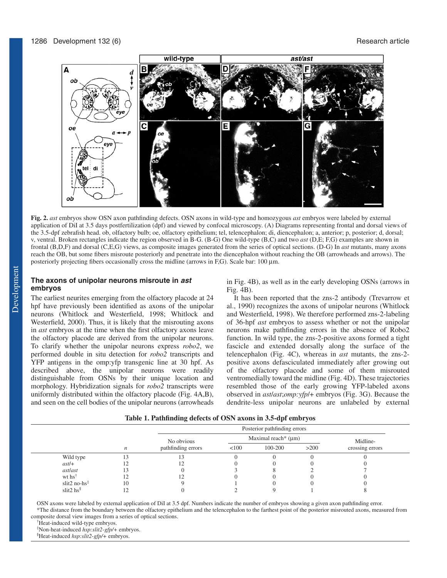

**Fig. 2.** *ast* embryos show OSN axon pathfinding defects. OSN axons in wild-type and homozygous *ast* embryos were labeled by external application of DiI at 3.5 days postfertilization (dpf) and viewed by confocal microscopy. (A) Diagrams representing frontal and dorsal views of the 3.5-dpf zebrafish head. ob, olfactory bulb; oe, olfactory epithelium; tel, telencephalon; di, diencephalon; a, anterior; p, posterior; d, dorsal; v, ventral. Broken rectangles indicate the region observed in B-G. (B-G) One wild-type (B,C) and two *ast* (D,E; F,G) examples are shown in frontal (B,D,F) and dorsal (C,E,G) views, as composite images generated from the series of optical sections. (D-G) In *ast* mutants, many axons reach the OB, but some fibers misroute posteriorly and penetrate into the diencephalon without reaching the OB (arrowheads and arrows). The posteriorly projecting fibers occasionally cross the midline (arrows in F,G). Scale bar: 100 µm.

# **The axons of unipolar neurons misroute in ast embryos**

The earliest neurites emerging from the olfactory placode at 24 hpf have previously been identified as axons of the unipolar neurons (Whitlock and Westerfield, 1998; Whitlock and Westerfield, 2000). Thus, it is likely that the misrouting axons in *ast* embryos at the time when the first olfactory axons leave the olfactory placode are derived from the unipolar neurons. To clarify whether the unipolar neurons express *robo2*, we performed double in situ detection for *robo2* transcripts and YFP antigens in the omp:yfp transgenic line at 30 hpf. As described above, the unipolar neurons were readily distinguishable from OSNs by their unique location and morphology. Hybridization signals for *robo2* transcripts were uniformly distributed within the olfactory placode (Fig. 4A,B), and seen on the cell bodies of the unipolar neurons (arrowheads in Fig. 4B), as well as in the early developing OSNs (arrows in Fig. 4B).

It has been reported that the zns-2 antibody (Trevarrow et al., 1990) recognizes the axons of unipolar neurons (Whitlock and Westerfield, 1998). We therefore performed zns-2-labeling of 36-hpf *ast* embryos to assess whether or not the unipolar neurons make pathfinding errors in the absence of Robo2 function. In wild type, the zns-2-positive axons formed a tight fascicle and extended dorsally along the surface of the telencephalon (Fig. 4C), whereas in *ast* mutants, the zns-2 positive axons defasciculated immediately after growing out of the olfactory placode and some of them misrouted ventromedially toward the midline (Fig. 4D). These trajectories resembled those of the early growing YFP-labeled axons observed in *ast*/*ast*;*omp:yfp*/+ embryos (Fig. 3G). Because the dendrite-less unipolar neurons are unlabeled by external

| Table 1. Pathfinding defects of OSN axons in 3.5-dpf embryos |
|--------------------------------------------------------------|
|--------------------------------------------------------------|

|                            |            |                          | Posterior pathfinding errors |         |          |                 |  |
|----------------------------|------------|--------------------------|------------------------------|---------|----------|-----------------|--|
|                            | No obvious | Maximal reach* $(\mu m)$ |                              |         | Midline- |                 |  |
|                            | n          | pathfinding errors       | < 100                        | 100-200 | >200     | crossing errors |  |
| Wild type                  |            |                          |                              |         |          |                 |  |
| $ast/+$                    |            |                          |                              |         |          |                 |  |
| astlast                    | 13         |                          |                              |         |          |                 |  |
| wt hs <sup>†</sup>         |            |                          |                              |         |          |                 |  |
| slit2 no-hs $\overline{ }$ | 10         |                          |                              |         |          |                 |  |
| slit2 hs $\frac{8}{3}$     |            |                          |                              |         |          |                 |  |

OSN axons were labeled by external application of DiI at 3.5 dpf. Numbers indicate the number of embryos showing a given axon pathfinding error.

\*The distance from the boundary between the olfactory epithelium and the telencephalon to the farthest point of the posterior misrouted axons, measured from composite dorsal view images from a series of optical sections.

† Heat-induced wild-type embryos.

‡ Non-heat-induced *hsp:slit2-gfp/+* embryos.

§ Heat-induced *hsp:slit2-gfp/+* embryos.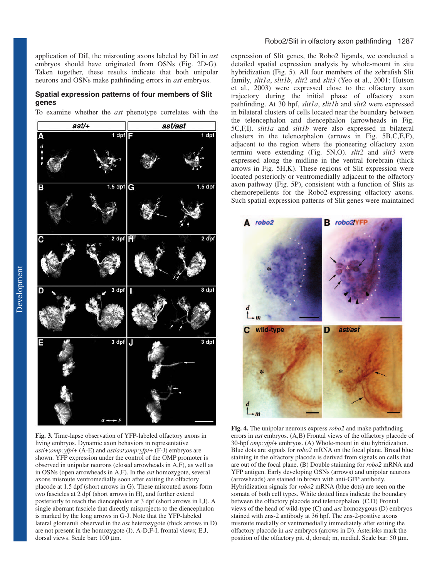application of DiI, the misrouting axons labeled by DiI in *ast* embryos should have originated from OSNs (Fig. 2D-G). Taken together, these results indicate that both unipolar neurons and OSNs make pathfinding errors in *ast* embryos.

#### **Spatial expression patterns of four members of Slit genes**

To examine whether the *ast* phenotype correlates with the



**Fig. 3.** Time-lapse observation of YFP-labeled olfactory axons in living embryos. Dynamic axon behaviors in representative *ast*/+;*omp:yfp*/+ (A-E) and *ast*/*ast*;*omp:yfp*/+ (F-J) embryos are shown. YFP expression under the control of the OMP promoter is observed in unipolar neurons (closed arrowheads in A,F), as well as in OSNs (open arrowheads in A,F). In the *ast* homozygote, several axons misroute ventromedially soon after exiting the olfactory placode at 1.5 dpf (short arrows in G). These misrouted axons form two fascicles at 2 dpf (short arrows in H), and further extend posteriorly to reach the diencephalon at 3 dpf (short arrows in I,J). A single aberrant fascicle that directly misprojects to the diencephalon is marked by the long arrows in G-J. Note that the YFP-labeled lateral glomeruli observed in the *ast* heterozygote (thick arrows in D) are not present in the homozygote (I). A-D,F-I, frontal views; E,J, dorsal views. Scale bar: 100 µm.

#### Robo2/Slit in olfactory axon pathfinding 1287

expression of Slit genes, the Robo2 ligands, we conducted a detailed spatial expression analysis by whole-mount in situ hybridization (Fig. 5). All four members of the zebrafish Slit family, *slit1a*, *slit1b*, *slit2* and *slit3* (Yeo et al., 2001; Hutson et al., 2003) were expressed close to the olfactory axon trajectory during the initial phase of olfactory axon pathfinding. At 30 hpf, *slit1a*, *slit1b* and *slit2* were expressed in bilateral clusters of cells located near the boundary between the telencephalon and diencephalon (arrowheads in Fig. 5C,F,I). *slit1a* and *slit1b* were also expressed in bilateral clusters in the telencephalon (arrows in Fig. 5B,C,E,F), adjacent to the region where the pioneering olfactory axon termini were extending (Fig. 5N,O). *slit2* and *slit3* were expressed along the midline in the ventral forebrain (thick arrows in Fig. 5H,K). These regions of Slit expression were located posteriorly or ventromedially adjacent to the olfactory axon pathway (Fig. 5P), consistent with a function of Slits as chemorepellents for the Robo2-expressing olfactory axons. Such spatial expression patterns of Slit genes were maintained



**Fig. 4.** The unipolar neurons express *robo2* and make pathfinding errors in *ast* embryos. (A,B) Frontal views of the olfactory placode of 30-hpf *omp:yfp*/+ embryos. (A) Whole-mount in situ hybridization. Blue dots are signals for *robo2* mRNA on the focal plane. Broad blue staining in the olfactory placode is derived from signals on cells that are out of the focal plane. (B) Double stainning for *robo2* mRNA and YFP antigen. Early developing OSNs (arrows) and unipolar neurons (arrowheads) are stained in brown with anti-GFP antibody. Hybridization signals for *robo2* mRNA (blue dots) are seen on the somata of both cell types. White dotted lines indicate the boundary between the olfactory placode and telencephalon. (C,D) Frontal views of the head of wild-type (C) and *ast* homozygous (D) embryos stained with zns-2 antibody at 36 hpf. The zns-2-positive axons misroute medially or ventromedially immediately after exiting the olfactory placode in *ast* embryos (arrows in D). Asterisks mark the position of the olfactory pit. d, dorsal; m, medial. Scale bar: 50 µm.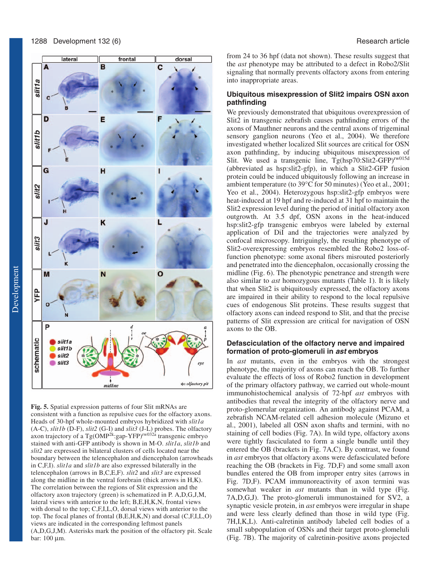

**Fig. 5.** Spatial expression patterns of four Slit mRNAs are consistent with a function as repulsive cues for the olfactory axons. Heads of 30-hpf whole-mounted embryos hybridized with *slit1a* (A-C), *slit1b* (D-F), *slit2* (G-I) and *slit3* (J-L) probes. The olfactory axon trajectory of a Tg(OMP<sup>2k</sup>:gap-YFP)<sup>rw032a</sup> transgenic embryo stained with anti-GFP antibody is shown in M-O. *slit1a*, *slit1b* and *slit2* are expressed in bilateral clusters of cells located near the boundary between the telencephalon and diencephalon (arrowheads in C,F,I). *slit1a* and *slit1b* are also expressed bilaterally in the telencephalon (arrows in B,C,E,F). *slit2* and *slit3* are expressed along the midline in the ventral forebrain (thick arrows in H,K). The correlation between the regions of Slit expression and the olfactory axon trajectory (green) is schematized in P. A,D,G,J,M, lateral views with anterior to the left; B,E,H,K,N, frontal views with dorsal to the top; C,F,I,L,O, dorsal views with anterior to the top. The focal planes of frontal (B,E,H,K,N) and dorsal (C,F,I,L,O) views are indicated in the corresponding leftmost panels (A,D,G,J,M). Asterisks mark the position of the olfactory pit. Scale bar: 100 µm.

from 24 to 36 hpf (data not shown). These results suggest that the *ast* phenotype may be attributed to a defect in Robo2/Slit signaling that normally prevents olfactory axons from entering into inappropriate areas.

## **Ubiquitous misexpression of Slit2 impairs OSN axon pathfinding**

We previously demonstrated that ubiquitous overexpression of Slit2 in transgenic zebrafish causes pathfinding errors of the axons of Mauthner neurons and the central axons of trigeminal sensory ganglion neurons (Yeo et al., 2004). We therefore investigated whether localized Slit sources are critical for OSN axon pathfinding, by inducing ubiquitous misexpression of Slit. We used a transgenic line, Tg(hsp70:Slit2-GFP)rw015d (abbreviated as hsp:slit2-gfp), in which a Slit2-GFP fusion protein could be induced ubiquitously following an increase in ambient temperature (to 39°C for 50 minutes) (Yeo et al., 2001; Yeo et al., 2004). Heterozygous hsp:slit2-gfp embryos were heat-induced at 19 hpf and re-induced at 31 hpf to maintain the Slit2 expression level during the period of initial olfactory axon outgrowth. At 3.5 dpf, OSN axons in the heat-induced hsp:slit2-gfp transgenic embryos were labeled by external application of DiI and the trajectories were analyzed by confocal microscopy. Intriguingly, the resulting phenotype of Slit2-overexpressing embryos resembled the Robo2 loss-offunction phenotype: some axonal fibers misrouted posteriorly and penetrated into the diencephalon, occasionally crossing the midline (Fig. 6). The phenotypic penetrance and strength were also similar to *ast* homozygous mutants (Table 1). It is likely that when Slit2 is ubiquitously expressed, the olfactory axons are impaired in their ability to respond to the local repulsive cues of endogenous Slit proteins. These results suggest that olfactory axons can indeed respond to Slit, and that the precise patterns of Slit expression are critical for navigation of OSN axons to the OB.

## **Defasciculation of the olfactory nerve and impaired formation of proto-glomeruli in ast embryos**

In *ast* mutants, even in the embryos with the strongest phenotype, the majority of axons can reach the OB. To further evaluate the effects of loss of Robo2 function in development of the primary olfactory pathway, we carried out whole-mount immunohistochemical analysis of 72-hpf *ast* embryos with antibodies that reveal the integrity of the olfactory nerve and proto-glomerular organization. An antibody against PCAM, a zebrafish NCAM-related cell adhesion molecule (Mizuno et al., 2001), labeled all OSN axon shafts and termini, with no staining of cell bodies (Fig. 7A). In wild type, olfactory axons were tightly fasciculated to form a single bundle until they entered the OB (brackets in Fig. 7A,C). By contrast, we found in *ast* embryos that olfactory axons were defasciculated before reaching the OB (brackets in Fig. 7D,F) and some small axon bundles entered the OB from improper entry sites (arrows in Fig. 7D,F). PCAM immunoreactivity of axon termini was somewhat weaker in *ast* mutants than in wild type (Fig. 7A,D,G,J). The proto-glomeruli immunostained for SV2, a synaptic vesicle protein, in *ast* embryos were irregular in shape and were less clearly defined than those in wild type (Fig. 7H,I,K,L). Anti-calretinin antibody labeled cell bodies of a small subpopulation of OSNs and their target proto-glomeluli (Fig. 7B). The majority of calretinin-positive axons projected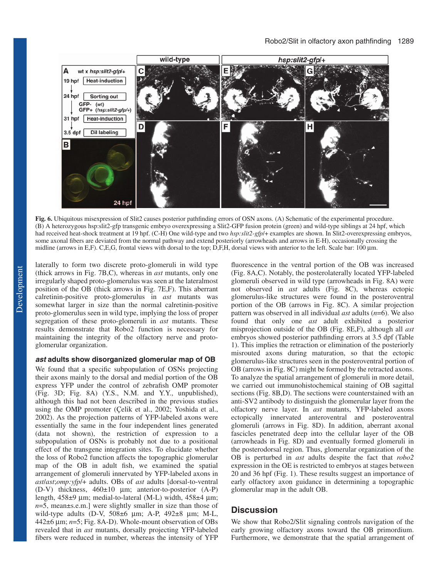

**Fig. 6.** Ubiquitous misexpression of Slit2 causes posterior pathfinding errors of OSN axons. (A) Schematic of the experimental procedure. (B) A heterozygous hsp:slit2-gfp transgenic embryo overexpressing a Slit2-GFP fusion protein (green) and wild-type siblings at 24 hpf, which had received heat-shock treatment at 19 hpf. (C-H) One wild-type and two *hsp:slit2-gfp*/+ examples are shown. In Slit2-overexpressing embryos, some axonal fibers are deviated from the normal pathway and extend posteriorly (arrowheads and arrows in E-H), occasionally crossing the midline (arrows in E,F). C,E,G, frontal views with dorsal to the top; D,F,H, dorsal views with anterior to the left. Scale bar: 100 µm.

laterally to form two discrete proto-glomeruli in wild type (thick arrows in Fig. 7B,C), whereas in *ast* mutants, only one irregularly shaped proto-glomerulus was seen at the lateralmost position of the OB (thick arrows in Fig. 7E,F). This aberrant calretinin-positive proto-glomerulus in *ast* mutants was somewhat larger in size than the normal calretinin-positive proto-glomerulus seen in wild type, implying the loss of proper segregation of these proto-glomeruli in *ast* mutants. These results demonstrate that Robo2 function is necessary for maintaining the integrity of the olfactory nerve and protoglomerular organization.

#### *ast adults show disorganized glomerular map of OB*

We found that a specific subpopulation of OSNs projecting their axons mainly to the dorsal and medial portion of the OB express YFP under the control of zebrafish OMP promoter (Fig. 3D; Fig. 8A) (Y.S., N.M. and Y.Y., unpublished), although this had not been described in the previous studies using the OMP promoter (Çelik et al., 2002; Yoshida et al., 2002). As the projection patterns of YFP-labeled axons were essentially the same in the four independent lines generated (data not shown), the restriction of expression to a subpopulation of OSNs is probably not due to a positional effect of the transgene integration sites. To elucidate whether the loss of Robo2 function affects the topographic glomerular map of the OB in adult fish, we examined the spatial arrangement of glomeruli innervated by YFP-labeled axons in *ast*/*ast*;*omp:yfp*/+ adults. OBs of *ast* adults [dorsal-to-ventral (D-V) thickness, 460±10 µm; anterior-to-posterior (A-P) length, 458±9 µm; medial-to-lateral (M-L) width, 458±4 µm; *n*=5, mean±s.e.m.] were slightly smaller in size than those of wild-type adults (D-V, 508±6 µm; A-P, 492±8 µm; M-L, 442±6 µm; *n*=5; Fig. 8A-D). Whole-mount observation of OBs revealed that in *ast* mutants, dorsally projecting YFP-labeled fibers were reduced in number, whereas the intensity of YFP

fluorescence in the ventral portion of the OB was increased (Fig. 8A,C). Notably, the posterolaterally located YFP-labeled glomeruli observed in wild type (arrowheads in Fig. 8A) were not observed in *ast* adults (Fig. 8C), whereas ectopic glomerulus-like structures were found in the posteroventral portion of the OB (arrows in Fig. 8C). A similar projection pattern was observed in all individual *ast* adults (*n*=6). We also found that only one *ast* adult exhibited a posterior misprojection outside of the OB (Fig. 8E,F), although all *ast* embryos showed posterior pathfinding errors at 3.5 dpf (Table 1). This implies the retraction or elimination of the posteriorly misrouted axons during maturation, so that the ectopic glomerulus-like structures seen in the posteroventral portion of OB (arrows in Fig. 8C) might be formed by the retracted axons. To analyze the spatial arrangement of glomeruli in more detail, we carried out immunohistochemical staining of OB sagittal sections (Fig. 8B,D). The sections were counterstained with an anti-SV2 antibody to distinguish the glomerular layer from the olfactory nerve layer. In *ast* mutants, YFP-labeled axons ectopically innervated anteroventral and posteroventral glomeruli (arrows in Fig. 8D). In addition, aberrant axonal fascicles penetrated deep into the cellular layer of the OB (arrowheads in Fig. 8D) and eventually formed glomeruli in the posterodorsal region. Thus, glomerular organization of the OB is perturbed in *ast* adults despite the fact that *robo2* expression in the OE is restricted to embryos at stages between 20 and 36 hpf (Fig. 1). These results suggest an importance of early olfactory axon guidance in determining a topographic glomerular map in the adult OB.

## *Discussion*

We show that Robo2/Slit signaling controls navigation of the early growing olfactory axons toward the OB primordium. Furthermore, we demonstrate that the spatial arrangement of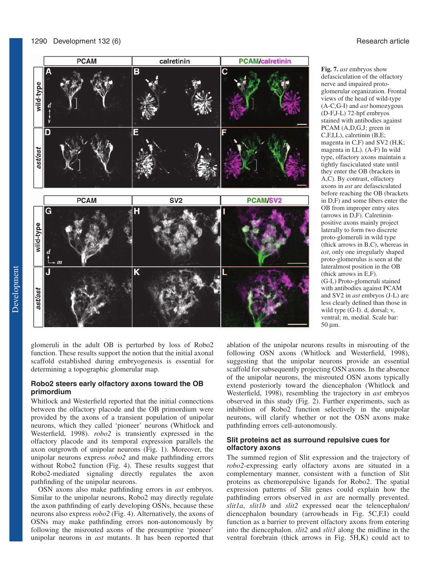

glomeruli in the adult OB is perturbed by loss of Robo2 function. These results support the notion that the initial axonal scaffold established during embryogenesis is essential for determining a topographic glomerular map.

## **Robo2 steers early olfactory axons toward the OB primordium**

Whitlock and Westerfield reported that the initial connections between the olfactory placode and the OB primordium were provided by the axons of a transient population of unipolar neurons, which they called 'pioneer' neurons (Whitlock and Westerfield, 1998). *robo2* is transiently expressed in the olfactory placode and its temporal expression parallels the axon outgrowth of unipolar neurons (Fig. 1). Moreover, the unipolar neurons express *robo2* and make pathfinding errors without Robo2 function (Fig. 4). These results suggest that Robo2-mediated signaling directly regulates the axon pathfinding of the unipolar neurons.

OSN axons also make pathfinding errors in *ast* embryos. Similar to the unipolar neurons, Robo2 may directly regulate the axon pathfinding of early developing OSNs, because these neurons also express *robo2* (Fig. 4). Alternatively, the axons of OSNs may make pathfinding errors non-autonomously by following the misrouted axons of the presumptive 'pioneer' unipolar neurons in *ast* mutants. It has been reported that

**Fig. 7.** *ast* embryos show defasciculation of the olfactory nerve and impaired protoglomerular organization. Frontal views of the head of wild-type (A-C,G-I) and *ast* homozygous (D-F,J-L) 72-hpf embryos stained with antibodies against PCAM (A,D,G,J; green in C,F,I,L), calretinin (B,E; magenta in C,F) and SV2 (H,K; magenta in I,L). (A-F) In wild type, olfactory axons maintain a tightly fasciculated state until they enter the OB (brackets in A,C). By contrast, olfactory axons in *ast* are defasciculated before reaching the OB (brackets in D,F) and some fibers enter the OB from improper entry sites (arrows in D,F). Calretininpositive axons mainly project laterally to form two discrete proto-glomeruli in wild type (thick arrows in B,C), whereas in *ast*, only one irregularly shaped proto-glomerulus is seen at the lateralmost position in the OB (thick arrows in E,F). (G-L) Proto-glomeruli stained with antibodies against PCAM and SV2 in *ast* embryos (J-L) are less clearly defined than those in wild type (G-I). d, dorsal; v, ventral; m, medial. Scale bar: 50 µm.

ablation of the unipolar neurons results in misrouting of the following OSN axons (Whitlock and Westerfield, 1998), suggesting that the unipolar neurons provide an essential scaffold for subsequently projecting OSN axons. In the absence of the unipolar neurons, the misrouted OSN axons typically extend posteriorly toward the diencephalon (Whitlock and Westerfield, 1998), resembling the trajectory in *ast* embryos observed in this study (Fig. 2). Further experiments, such as inhibition of Robo2 function selectively in the unipolar neurons, will clarify whether or not the OSN axons make pathfinding errors cell-autonomously.

## **Slit proteins act as surround repulsive cues for olfactory axons**

The summed region of Slit expression and the trajectory of *robo2*-expressing early olfactory axons are situated in a complementary manner, consistent with a function of Slit proteins as chemorepulsive ligands for Robo2. The spatial expression patterns of Slit genes could explain how the pathfinding errors observed in *ast* are normally prevented. *slit1a*, *slit1b* and *slit2* expressed near the telencephalon/ diencephalon boundary (arrowheads in Fig. 5C,F,I) could function as a barrier to prevent olfactory axons from entering into the diencephalon. *slit2* and *slit3* along the midline in the ventral forebrain (thick arrows in Fig. 5H,K) could act to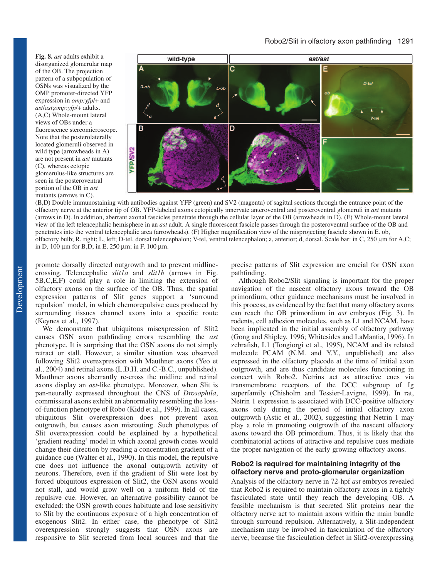**Fig. 8.** *ast* adults exhibit a disorganized glomerular map of the OB. The projection pattern of a subpopulation of OSNs was visualized by the OMP promoter-directed YFP expression in *omp:yfp*/+ and *ast*/*ast*;*omp:yfp*/+ adults. (A,C) Whole-mount lateral views of OBs under a fluorescence stereomicroscope. Note that the posterolaterally located glomeruli observed in wild type (arrowheads in A) are not present in *ast* mutants (C), whereas ectopic glomerulus-like structures are seen in the posteroventral portion of the OB in *ast* mutants (arrows in C).



(B,D) Double immunostaining with antibodies against YFP (green) and SV2 (magenta) of sagittal sections through the entrance point of the olfactory nerve at the anterior tip of OB. YFP-labeled axons ectopically innervate anteroventral and posteroventral glomeruli in *ast* mutants (arrows in D). In addition, aberrant axonal fascicles penetrate through the cellular layer of the OB (arrowheads in D). (E) Whole-mount lateral view of the left telencephalic hemisphere in an *ast* adult. A single fluorescent fascicle passes through the posteroventral surface of the OB and penetrates into the ventral telencephalic area (arrowheads). (F) Higher magnification view of the misprojecting fascicle shown in E. ob, olfactory bulb; R, right; L, left; D-tel, dorsal telencephalon; V-tel, ventral telencephalon; a, anterior; d, dorsal. Scale bar: in C, 250 µm for A,C; in D, 100  $\mu$ m for B,D; in E, 250  $\mu$ m; in F, 100  $\mu$ m.

promote dorsally directed outgrowth and to prevent midlinecrossing. Telencephalic *slit1a* and *slit1b* (arrows in Fig. 5B,C,E,F) could play a role in limiting the extension of olfactory axons on the surface of the OB. Thus, the spatial expression patterns of Slit genes support a 'surround repulsion' model, in which chemorepulsive cues produced by surrounding tissues channel axons into a specific route (Keynes et al., 1997).

We demonstrate that ubiquitous misexpression of Slit2 causes OSN axon pathfinding errors resembling the *ast* phenotype. It is surprising that the OSN axons do not simply retract or stall. However, a similar situation was observed following Slit2 overexpression with Mauthner axons (Yeo et al., 2004) and retinal axons (L.D.H. and C.-B.C., unpublished). Mauthner axons aberrantly re-cross the midline and retinal axons display an *ast*-like phenotype. Moreover, when Slit is pan-neurally expressed throughout the CNS of *Drosophila*, commissural axons exhibit an abnormality resembling the lossof-function phenotype of Robo (Kidd et al., 1999). In all cases, ubiquitous Slit overexpression does not prevent axon outgrowth, but causes axon misrouting. Such phenotypes of Slit overexpression could be explained by a hypothetical 'gradient reading' model in which axonal growth cones would change their direction by reading a concentration gradient of a guidance cue (Walter et al., 1990). In this model, the repulsive cue does not influence the axonal outgrowth activity of neurons. Therefore, even if the gradient of Slit were lost by forced ubiquitous expression of Slit2, the OSN axons would not stall, and would grow well on a uniform field of the repulsive cue. However, an alternative possibility cannot be excluded: the OSN growth cones habituate and lose sensitivity to Slit by the continuous exposure of a high concentration of exogenous Slit2. In either case, the phenotype of Slit2 overexpression strongly suggests that OSN axons are responsive to Slit secreted from local sources and that the

precise patterns of Slit expression are crucial for OSN axon pathfinding.

Although Robo2/Slit signaling is important for the proper navigation of the nascent olfactory axons toward the OB primordium, other guidance mechanisms must be involved in this process, as evidenced by the fact that many olfactory axons can reach the OB primordium in *ast* embryos (Fig. 3). In rodents, cell adhesion molecules, such as L1 and NCAM, have been implicated in the initial assembly of olfactory pathway (Gong and Shipley, 1996; Whitesides and LaMantia, 1996). In zebrafish, L1 (Tongiorgi et al., 1995), NCAM and its related molecule PCAM (N.M. and Y.Y., unpublished) are also expressed in the olfactory placode at the time of initial axon outgrowth, and are thus candidate molecules functioning in concert with Robo2. Netrins act as attractive cues via transmembrane receptors of the DCC subgroup of Ig superfamily (Chisholm and Tessier-Lavigne, 1999). In rat, Netrin 1 expression is associated with DCC-positive olfactory axons only during the period of initial olfactory axon outgrowth (Astic et al., 2002), suggesting that Netrin 1 may play a role in promoting outgrowth of the nascent olfactory axons toward the OB primordium. Thus, it is likely that the combinatorial actions of attractive and repulsive cues mediate the proper navigation of the early growing olfactory axons.

## **Robo2 is required for maintaining integrity of the olfactory nerve and proto-glomerular organization**

Analysis of the olfactory nerve in 72-hpf *ast* embryos revealed that Robo2 is required to maintain olfactory axons in a tightly fasciculated state until they reach the developing OB. A feasible mechanism is that secreted Slit proteins near the olfactory nerve act to maintain axons within the main bundle through surround repulsion. Alternatively, a Slit-independent mechanism may be involved in fasciculation of the olfactory nerve, because the fasciculation defect in Slit2-overexpressing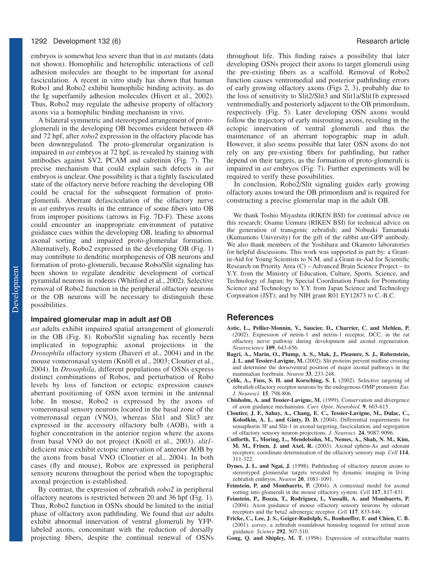embryos is somewhat less severe than that in *ast* mutants (data not shown). Homophilic and heterophilic interactions of cell adhesion molecules are thought to be important for axonal fasciculation. A recent in vitro study has shown that human Robo1 and Robo2 exhibit homophilic binding activity, as do the Ig superfamily adhesion molecules (Hivert et al., 2002). Thus, Robo2 may regulate the adhesive property of olfactory axons via a homophilic binding mechanism in vivo.

A bilateral symmetric and stereotyped arrangement of protoglomeruli in the developing OB becomes evident between 48 and 72 hpf, after *robo2* expression in the olfactory placode has been downregulated. The proto-glomerular organization is impaired in *ast* embryos at 72 hpf, as revealed by staining with antibodies against SV2, PCAM and calretinin (Fig. 7). The precise mechanism that could explain such defects in *ast* embryos is unclear. One possibility is that a tightly fasciculated state of the olfactory nerve before reaching the developing OB could be crucial for the subsequent formation of protoglomeruli. Aberrant defasciculation of the olfactory nerve in *ast* embryos results in the entrance of some fibers into OB from improper positions (arrows in Fig. 7D-F). These axons could encounter an inappropriate environment of putative guidance cues within the developing OB, leading to abnormal axonal sorting and impaired proto-glomerular formation. Alternatively, Robo2 expressed in the developing OB (Fig. 1) may contribute to dendritic morphogenesis of OB neurons and formation of proto-glomeruli, because Robo/Slit signaling has been shown to regulate dendritic development of cortical pyramidal neurons in rodents (Whitford et al., 2002). Selective removal of Robo2 function in the peripheral olfactory neurons or the OB neurons will be necessary to distinguish these possibilities.

#### **Impaired glomerular map in adult ast OB**

*ast* adults exhibit impaired spatial arrangement of glomeruli in the OB (Fig. 8). Robo/Slit signaling has recently been implicated in topographic axonal projections in the *Drosophila* olfactory system (Jhaveri et al., 2004) and in the mouse vomeronasal system (Knöll et al., 2003; Cloutier et al., 2004). In *Drosophila*, different populations of OSNs express distinct combinations of Robos, and perturbation of Robo levels by loss of function or ectopic expression causes aberrant positioning of OSN axon termini in the antennal lobe. In mouse, Robo2 is expressed by the axons of vomeronasal sensory neurons located in the basal zone of the vomeronasal organ (VNO), whereas Slit1 and Slit3 are expressed in the accessory olfactory bulb (AOB), with a higher concentration in the anterior region where the axons from basal VNO do not project (Knöll et al., 2003). *slit1* deficient mice exhibit ectopic innervation of anterior AOB by the axons from basal VNO (Cloutier et al., 2004). In both cases (fly and mouse), Robos are expressed in peripheral sensory neurons throughout the period when the topographic axonal projection is established.

By contrast, the expression of zebrafish *robo2* in peripheral olfactory neurons is restricted between 20 and 36 hpf (Fig. 1). Thus, Robo2 function in OSNs should be limited to the initial phase of olfactory axon pathfinding. We found that *ast* adults exhibit abnormal innervation of ventral glomeruli by YFPlabeled axons, concomitant with the reduction of dorsally projecting fibers, despite the continual renewal of OSNs throughout life. This finding raises a possibility that later developing OSNs project their axons to target glomeruli using the pre-existing fibers as a scaffold. Removal of Robo2 function causes ventromedial and posterior pathfinding errors of early growing olfactory axons (Figs 2, 3), probably due to the loss of sensitivity to Slit2/Slit3 and Slit1a/Slit1b expressed ventromedially and posteriorly adjacent to the OB primordium, respectively (Fig. 5). Later developing OSN axons would follow the trajectory of early misrouting axons, resulting in the ectopic innervation of ventral glomeruli and thus the maintenance of an aberrant topographic map in adult. However, it also seems possible that later OSN axons do not rely on any pre-existing fibers for pathfinding, but rather depend on their targets, as the formation of proto-glomeruli is impaired in *ast* embryos (Fig. 7). Further experiments will be required to verify these possibilities.

In conclusion, Robo2/Slit signaling guides early growing olfactory axons toward the OB primordium and is required for constructing a precise glomerular map in the adult OB.

We thank Toshio Miyashita (RIKEN BSI) for continual advice on this research; Osamu Uemura (RIKEN BSI) for technical advice on the generation of transgenic zebrafish; and Nobuaki Tamamaki (Kumamoto University) for the gift of the rabbit ant-GFP antibody. We also thank members of the Yoshihara and Okamoto laboratories for helpful discussions. This work was supported in part by: a Grantin-Aid for Young Scientists to N.M. and a Grant-in-Aid for Scientific Research on Priority Area (C) – Advanced Brain Science Project – to Y.Y. from the Ministry of Education, Culture, Sports, Science, and Technology of Japan; by Special Coordination Funds for Promoting Science and Technology to Y.Y. from Japan Science and Technology Corporation (JST); and by NIH grant R01 EY12873 to C.-B.C.

#### **References**

- **Astic, L., Pellier-Monnin, V., Saucier, D., Charrier, C. and Mehlen, P.** (2002). Expression of netrin-1 and netrin-1 receptor, DCC, in the rat olfactory nerve pathway during development and axonal regeneration. *Neuroscience* **109**, 643-656.
- **Bagri, A., Marin, O., Plump, A. S., Mak, J., Pleasure, S. J., Rubenstein, J. L. and Tessier-Lavigne, M.** (2002). Slit proteins prevent midline crossing and determine the dorsoventral position of major axonal pathways in the mammalian forebrain. *Neuron* **33**, 233-248.
- **Çelik, A., Fuss, S. H. and Korsching, S. I.** (2002). Selective targeting of zebrafish olfactory receptor neurons by the endogenous OMP promoter. *Eur. J. Neurosci.* **15**, 798-806.
- **Chisholm, A. and Tessier-Lavigne, M.** (1999). Conservation and divergence of axon guidance mechanisms. *Curr. Opin. Neurobiol.* **9**, 603-615.
- **Cloutier, J. F., Sahay, A., Chang, E. C., Tessier-Lavigne, M., Dulac, C., Kolodkin, A. L. and Ginty, D. D.** (2004). Differential requirements for semaphorin 3F and Slit-1 in axonal targeting, fasciculation, and segregation of olfactory sensory neuron projections. *J. Neurosci.* **24**, 9087-9096.
- **Cutforth, T., Moring, L., Mendelsohn, M., Nemes, A., Shah, N. M., Kim, M. M., Frisen, J. and Axel, R.** (2003). Axonal ephrin-As and odorant receptors: coordinate determination of the olfactory sensory map. *Cell* **114**, 311-322.
- **Dynes, J. L. and Ngai, J.** (1998). Pathfinding of olfactory neuron axons to stereotyped glomerular targets revealed by dynamic imaging in living zebrafish embryos. *Neuron* **20**, 1081-1091.
- **Feinstein, P. and Mombaerts, P.** (2004). A contextual model for axonal sorting into glomeruli in the mouse olfactory system. *Cell* **117**, 817-831.
- **Feinstein, P., Bozza, T., Rodriguez, I., Vassalli, A. and Mombaerts, P.** (2004). Axon guidance of mouse olfactory sensory neurons by odorant receptors and the beta2 adrenergic receptor. *Cell* **117**, 833-846.
- **Fricke, C., Lee, J. S., Geiger-Rudolph, S., Bonhoeffer, F. and Chien, C. B.** (2001). *astray*, a zebrafish roundabout homolog required for retinal axon guidance. *Science* **292**, 507-510.
- **Gong, Q. and Shipley, M. T.** (1996). Expression of extracellular matrix